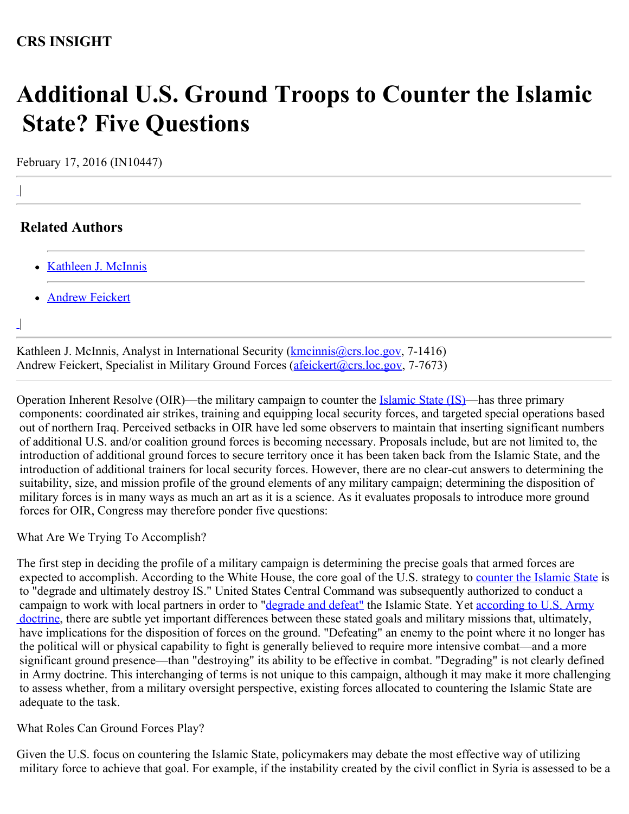# **Additional U.S. Ground Troops to Counter the Islamic State? Five Questions**

February 17, 2016 (IN10447)

|

## **Related Authors**

- [Kathleen J. McInnis](http://www.crs.gov/Author/index?id=105037)
- **[Andrew Feickert](http://www.crs.gov/Author/index?id=72520)**

|

Kathleen J. McInnis, Analyst in International Security (*kmcinnis@crs.loc.gov, 7-1416*) Andrew Feickert, Specialist in Military Ground Forces [\(afeickert@crs.loc.gov](mailto:afeickert@crs.loc.gov), 7-7673)

Operation Inherent Resolve (OIR)—the military campaign to counter the **Islamic State (IS)**—has three primary components: coordinated air strikes, training and equipping local security forces, and targeted special operations based out of northern Iraq. Perceived setbacks in OIR have led some observers to maintain that inserting significant numbers of additional U.S. and/or coalition ground forces is becoming necessary. Proposals include, but are not limited to, the introduction of additional ground forces to secure territory once it has been taken back from the Islamic State, and the introduction of additional trainers for local security forces. However, there are no clear-cut answers to determining the suitability, size, and mission profile of the ground elements of any military campaign; determining the disposition of military forces is in many ways as much an art as it is a science. As it evaluates proposals to introduce more ground forces for OIR, Congress may therefore ponder five questions:

What Are We Trying To Accomplish?

The first step in deciding the profile of a military campaign is determining the precise goals that armed forces are expected to accomplish. According to the White House, the core goal of the U.S. strategy to [counter the Islamic State](https://www.whitehouse.gov/the-press-office/2014/09/10/fact-sheet-strategy-counter-islamic-state-iraq-and-levant-isil) is to "degrade and ultimately destroy IS." United States Central Command was subsequently authorized to conduct a campaign to work with local partners in order to ["degrade and defeat"](http://www.defense.gov/News/Special-Reports/0814_Inherent-Resolve) the Islamic State. Yet [according to U.S. Army](http://armypubs.army.mil/doctrine/DR_pubs/dr_a/pdf/adrp1_02.pdf)  [doctrine](http://armypubs.army.mil/doctrine/DR_pubs/dr_a/pdf/adrp1_02.pdf), there are subtle yet important differences between these stated goals and military missions that, ultimately, have implications for the disposition of forces on the ground. "Defeating" an enemy to the point where it no longer has the political will or physical capability to fight is generally believed to require more intensive combat—and a more significant ground presence—than "destroying" its ability to be effective in combat. "Degrading" is not clearly defined in Army doctrine. This interchanging of terms is not unique to this campaign, although it may make it more challenging to assess whether, from a military oversight perspective, existing forces allocated to countering the Islamic State are adequate to the task.

### What Roles Can Ground Forces Play?

Given the U.S. focus on countering the Islamic State, policymakers may debate the most effective way of utilizing military force to achieve that goal. For example, if the instability created by the civil conflict in Syria is assessed to be a